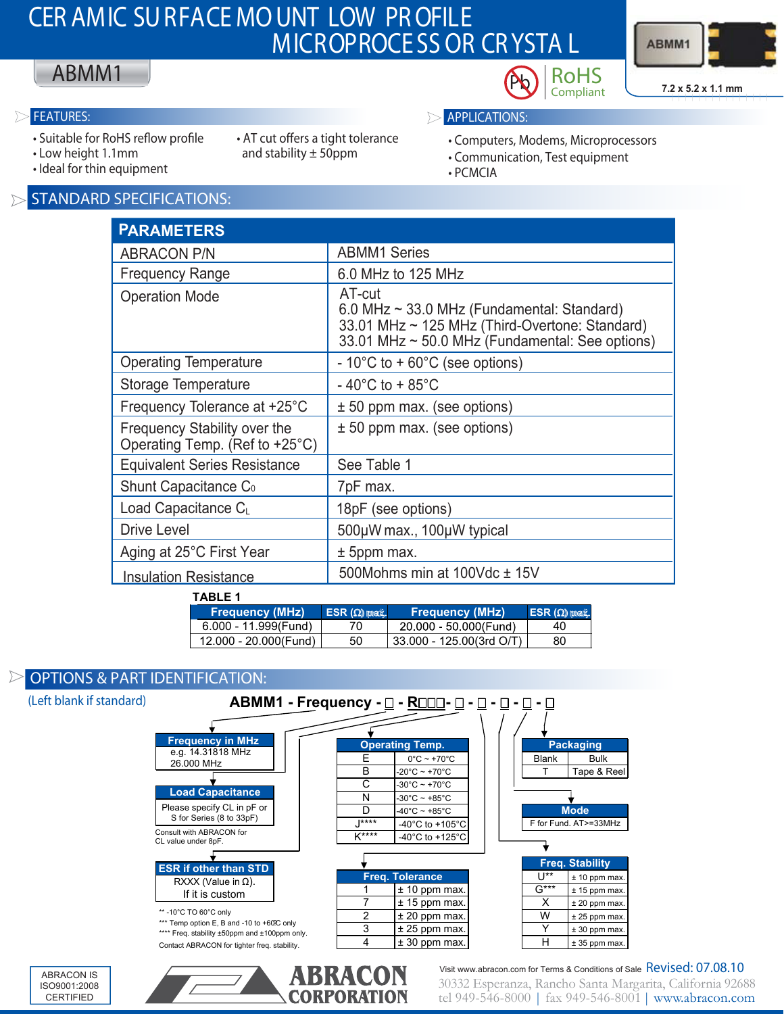# **CER AMIC SURFACE MOUNT LOW PROFILE MICROPROCE SS OR CRYSTA L**



## ABMM1

D

- Suitable for RoHS reflow profile
- Low height 1.1mm
- and stability  $\pm$  50ppm
- Ideal for thin equipment

#### **STANDARD SPECIFICATIONS:**

| • AT cut offers a tight tolerance |
|-----------------------------------|
| and stability $\pm$ 50ppm         |

- 
- **FEATURES: APPLICATIONS:**
	- Computers, Modems, Microprocessors

**Compliant**

- Communication, Test equipment
- PCMCIA

| <b>PARAMETERS</b>                                              |                                                                                                                                                                |  |  |
|----------------------------------------------------------------|----------------------------------------------------------------------------------------------------------------------------------------------------------------|--|--|
| <b>ABRACON P/N</b>                                             | <b>ABMM1 Series</b>                                                                                                                                            |  |  |
| <b>Frequency Range</b>                                         | 6.0 MHz to 125 MHz                                                                                                                                             |  |  |
| <b>Operation Mode</b>                                          | AT-cut<br>6.0 MHz $\sim$ 33.0 MHz (Fundamental: Standard)<br>33.01 MHz ~ 125 MHz (Third-Overtone: Standard)<br>33.01 MHz ~ 50.0 MHz (Fundamental: See options) |  |  |
| <b>Operating Temperature</b>                                   | $-10^{\circ}$ C to + 60 $^{\circ}$ C (see options)                                                                                                             |  |  |
| Storage Temperature                                            | $-40^{\circ}$ C to + 85 $^{\circ}$ C                                                                                                                           |  |  |
| Frequency Tolerance at +25°C                                   | $\pm$ 50 ppm max. (see options)                                                                                                                                |  |  |
| Frequency Stability over the<br>Operating Temp. (Ref to +25°C) | $± 50$ ppm max. (see options)                                                                                                                                  |  |  |
| <b>Equivalent Series Resistance</b>                            | See Table 1                                                                                                                                                    |  |  |
| Shunt Capacitance C <sub>0</sub>                               | 7pF max.                                                                                                                                                       |  |  |
| Load Capacitance C <sub>L</sub>                                | 18pF (see options)                                                                                                                                             |  |  |
| Drive Level                                                    | 500µW max., 100µW typical                                                                                                                                      |  |  |
| Aging at 25°C First Year                                       | $±$ 5ppm max.                                                                                                                                                  |  |  |
| <b>Insulation Resistance</b>                                   | 500Mohms min at 100Vdc ± 15V                                                                                                                                   |  |  |

**TABLE 1**

| Frequency (MHz)       | $ESR(\Omega)$ max. | <b>Frequency (MHz)</b>   | $ESR(\Omega)$ max. |
|-----------------------|--------------------|--------------------------|--------------------|
| 6.000 - 11.999(Fund)  | 70                 | 20 000 - 50 000 (Fund)   | 40                 |
| 12.000 - 20.000(Fund) | 50                 | 33.000 - 125.00(3rd O/T) | 80                 |
|                       |                    |                          |                    |

### **OPTIONS & PART IDENTIFICATION:**



**CORPORATION**